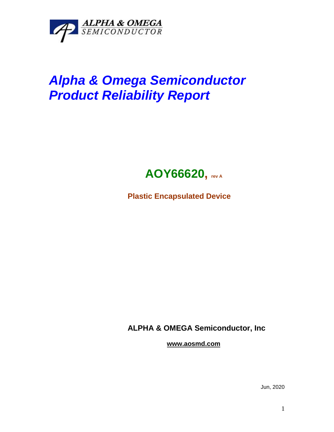

## *Alpha & Omega Semiconductor Product Reliability Report*



**Plastic Encapsulated Device**

**ALPHA & OMEGA Semiconductor, Inc**

**www.aosmd.com**

Jun, 2020